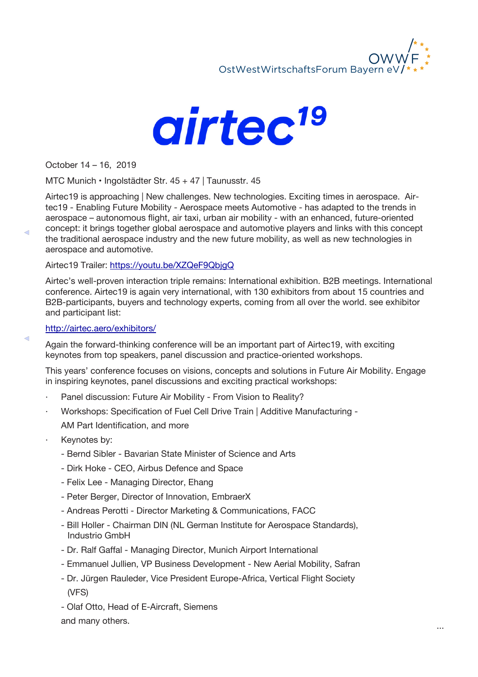



October 14 – 16, 2019

 $\triangleleft$ 

 $\triangleleft$ 

MTC Munich • Ingolstädter Str. 45 + 47 | Taunusstr. 45

Airtec19 is approaching | New challenges. New technologies. Exciting times in aerospace. Airtec19 - Enabling Future Mobility - Aerospace meets Automotive - has adapted to the trends in aerospace – autonomous flight, air taxi, urban air mobility - with an enhanced, future-oriented concept: it brings together global aerospace and automotive players and links with this concept the traditional aerospace industry and the new future mobility, as well as new technologies in aerospace and automotive.

Airtec19 Trailer: https://youtu.be/XZQeF9QbjgQ

Airtec's well-proven interaction triple remains: International exhibition. B2B meetings. International conference. Airtec19 is again very international, with 130 exhibitors from about 15 countries and B2B-participants, buyers and technology experts, coming from all over the world. see exhibitor and participant list:

## http://airtec.aero/exhibitors/

Again the forward-thinking conference will be an important part of Airtec19, with exciting keynotes from top speakers, panel discussion and practice-oriented workshops.

This years' conference focuses on visions, concepts and solutions in Future Air Mobility. Engage in inspiring keynotes, panel discussions and exciting practical workshops:

- Panel discussion: Future Air Mobility From Vision to Reality?
- · Workshops: Specification of Fuel Cell Drive Train | Additive Manufacturing AM Part Identification, and more
- Keynotes by:
	- Bernd Sibler Bavarian State Minister of Science and Arts
	- Dirk Hoke CEO, Airbus Defence and Space
	- Felix Lee Managing Director, Ehang
	- Peter Berger, Director of Innovation, EmbraerX
	- Andreas Perotti Director Marketing & Communications, FACC
	- Bill Holler Chairman DIN (NL German Institute for Aerospace Standards), Industrio GmbH
	- Dr. Ralf Gaffal Managing Director, Munich Airport International
	- Emmanuel Jullien, VP Business Development New Aerial Mobility, Safran
	- Dr. Jürgen Rauleder, Vice President Europe-Africa, Vertical Flight Society (VFS)
	- Olaf Otto, Head of E-Aircraft, Siemens

and many others.